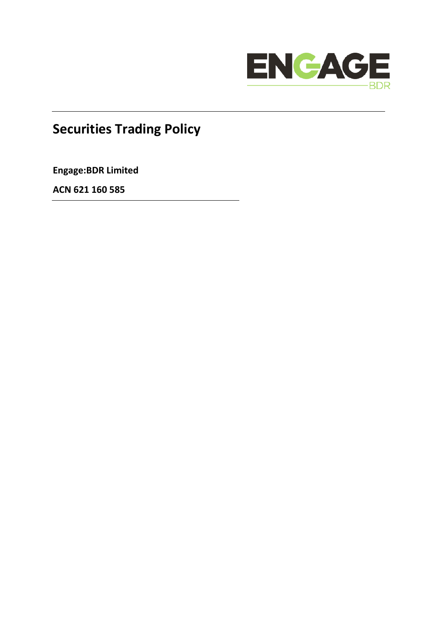

# **Securities Trading Policy**

**Engage:BDR Limited**

**ACN 621 160 585**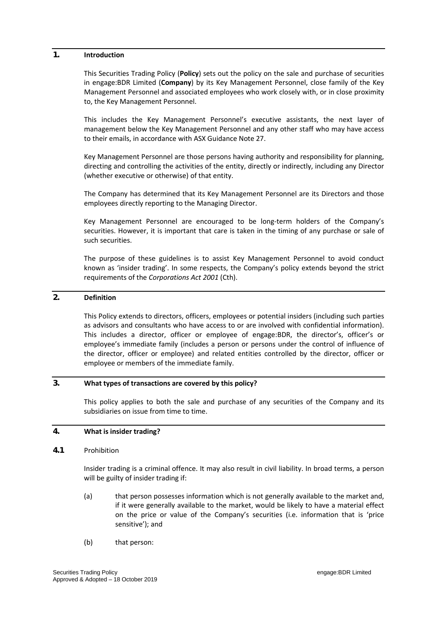#### **1. Introduction**

This Securities Trading Policy (**Policy**) sets out the policy on the sale and purchase of securities in engage:BDR Limited (**Company**) by its Key Management Personnel, close family of the Key Management Personnel and associated employees who work closely with, or in close proximity to, the Key Management Personnel.

This includes the Key Management Personnel's executive assistants, the next layer of management below the Key Management Personnel and any other staff who may have access to their emails, in accordance with ASX Guidance Note 27.

Key Management Personnel are those persons having authority and responsibility for planning, directing and controlling the activities of the entity, directly or indirectly, including any Director (whether executive or otherwise) of that entity.

The Company has determined that its Key Management Personnel are its Directors and those employees directly reporting to the Managing Director.

Key Management Personnel are encouraged to be long-term holders of the Company's securities. However, it is important that care is taken in the timing of any purchase or sale of such securities.

The purpose of these guidelines is to assist Key Management Personnel to avoid conduct known as 'insider trading'. In some respects, the Company's policy extends beyond the strict requirements of the *Corporations Act 2001* (Cth).

## **2. Definition**

This Policy extends to directors, officers, employees or potential insiders (including such parties as advisors and consultants who have access to or are involved with confidential information). This includes a director, officer or employee of engage:BDR, the director's, officer's or employee's immediate family (includes a person or persons under the control of influence of the director, officer or employee) and related entities controlled by the director, officer or employee or members of the immediate family.

## **3. What types of transactions are covered by this policy?**

This policy applies to both the sale and purchase of any securities of the Company and its subsidiaries on issue from time to time.

## **4. What is insider trading?**

#### **4.1** Prohibition

Insider trading is a criminal offence. It may also result in civil liability. In broad terms, a person will be guilty of insider trading if:

- (a) that person possesses information which is not generally available to the market and, if it were generally available to the market, would be likely to have a material effect on the price or value of the Company's securities (i.e. information that is 'price sensitive'); and
- (b) that person: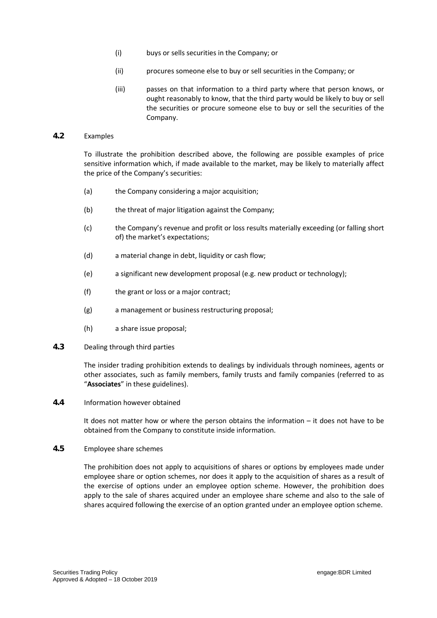- (i) buys or sells securities in the Company; or
- (ii) procures someone else to buy or sell securities in the Company; or
- (iii) passes on that information to a third party where that person knows, or ought reasonably to know, that the third party would be likely to buy or sell the securities or procure someone else to buy or sell the securities of the Company.

## **4.2** Examples

To illustrate the prohibition described above, the following are possible examples of price sensitive information which, if made available to the market, may be likely to materially affect the price of the Company's securities:

- (a) the Company considering a major acquisition:
- (b) the threat of major litigation against the Company;
- (c) the Company's revenue and profit or loss results materially exceeding (or falling short of) the market's expectations;
- (d) a material change in debt, liquidity or cash flow;
- (e) a significant new development proposal (e.g. new product or technology);
- (f) the grant or loss or a major contract;
- (g) a management or business restructuring proposal;
- (h) a share issue proposal;
- **4.3** Dealing through third parties

The insider trading prohibition extends to dealings by individuals through nominees, agents or other associates, such as family members, family trusts and family companies (referred to as "**Associates**" in these guidelines).

**4.4** Information however obtained

It does not matter how or where the person obtains the information – it does not have to be obtained from the Company to constitute inside information.

**4.5** Employee share schemes

The prohibition does not apply to acquisitions of shares or options by employees made under employee share or option schemes, nor does it apply to the acquisition of shares as a result of the exercise of options under an employee option scheme. However, the prohibition does apply to the sale of shares acquired under an employee share scheme and also to the sale of shares acquired following the exercise of an option granted under an employee option scheme.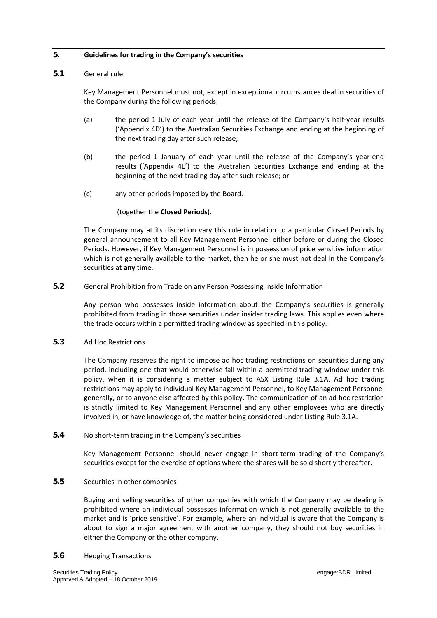## **5. Guidelines for trading in the Company's securities**

#### <span id="page-3-0"></span>**5.1** General rule

Key Management Personnel must not, except in exceptional circumstances deal in securities of the Company during the following periods:

- (a) the period 1 July of each year until the release of the Company's half-year results ('Appendix 4D') to the Australian Securities Exchange and ending at the beginning of the next trading day after such release;
- (b) the period 1 January of each year until the release of the Company's year-end results ('Appendix 4E') to the Australian Securities Exchange and ending at the beginning of the next trading day after such release; or
- (c) any other periods imposed by the Board.

## (together the **Closed Periods**).

The Company may at its discretion vary this rule in relation to a particular Closed Periods by general announcement to all Key Management Personnel either before or during the Closed Periods. However, if Key Management Personnel is in possession of price sensitive information which is not generally available to the market, then he or she must not deal in the Company's securities at **any** time.

## **5.2** General Prohibition from Trade on any Person Possessing Inside Information

Any person who possesses inside information about the Company's securities is generally prohibited from trading in those securities under insider trading laws. This applies even where the trade occurs within a permitted trading window as specified in this policy.

## **5.3** Ad Hoc Restrictions

The Company reserves the right to impose ad hoc trading restrictions on securities during any period, including one that would otherwise fall within a permitted trading window under this policy, when it is considering a matter subject to ASX Listing Rule 3.1A. Ad hoc trading restrictions may apply to individual Key Management Personnel, to Key Management Personnel generally, or to anyone else affected by this policy. The communication of an ad hoc restriction is strictly limited to Key Management Personnel and any other employees who are directly involved in, or have knowledge of, the matter being considered under Listing Rule 3.1A.

## **5.4** No short-term trading in the Company's securities

Key Management Personnel should never engage in short-term trading of the Company's securities except for the exercise of options where the shares will be sold shortly thereafter.

## **5.5** Securities in other companies

Buying and selling securities of other companies with which the Company may be dealing is prohibited where an individual possesses information which is not generally available to the market and is 'price sensitive'. For example, where an individual is aware that the Company is about to sign a major agreement with another company, they should not buy securities in either the Company or the other company.

#### **5.6** Hedging Transactions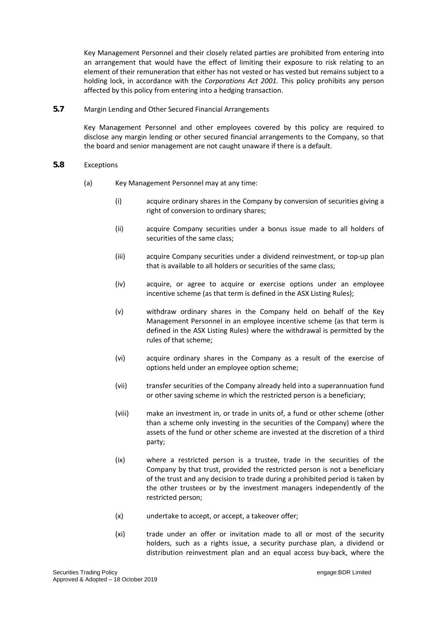Key Management Personnel and their closely related parties are prohibited from entering into an arrangement that would have the effect of limiting their exposure to risk relating to an element of their remuneration that either has not vested or has vested but remains subject to a holding lock, in accordance with the *Corporations Act 2001.* This policy prohibits any person affected by this policy from entering into a hedging transaction.

**5.7** Margin Lending and Other Secured Financial Arrangements

Key Management Personnel and other employees covered by this policy are required to disclose any margin lending or other secured financial arrangements to the Company, so that the board and senior management are not caught unaware if there is a default.

- **5.8** Exceptions
	- (a) Key Management Personnel may at any time:
		- (i) acquire ordinary shares in the Company by conversion of securities giving a right of conversion to ordinary shares;
		- (ii) acquire Company securities under a bonus issue made to all holders of securities of the same class;
		- (iii) acquire Company securities under a dividend reinvestment, or top-up plan that is available to all holders or securities of the same class;
		- (iv) acquire, or agree to acquire or exercise options under an employee incentive scheme (as that term is defined in the ASX Listing Rules);
		- (v) withdraw ordinary shares in the Company held on behalf of the Key Management Personnel in an employee incentive scheme (as that term is defined in the ASX Listing Rules) where the withdrawal is permitted by the rules of that scheme;
		- (vi) acquire ordinary shares in the Company as a result of the exercise of options held under an employee option scheme;
		- (vii) transfer securities of the Company already held into a superannuation fund or other saving scheme in which the restricted person is a beneficiary;
		- (viii) make an investment in, or trade in units of, a fund or other scheme (other than a scheme only investing in the securities of the Company) where the assets of the fund or other scheme are invested at the discretion of a third party;
		- (ix) where a restricted person is a trustee, trade in the securities of the Company by that trust, provided the restricted person is not a beneficiary of the trust and any decision to trade during a prohibited period is taken by the other trustees or by the investment managers independently of the restricted person;
		- (x) undertake to accept, or accept, a takeover offer;
		- (xi) trade under an offer or invitation made to all or most of the security holders, such as a rights issue, a security purchase plan, a dividend or distribution reinvestment plan and an equal access buy-back, where the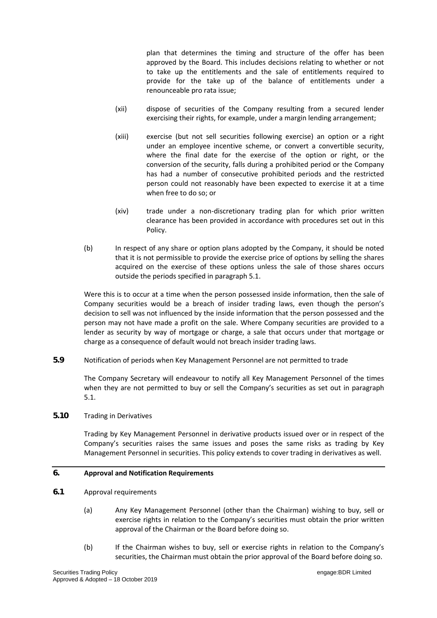plan that determines the timing and structure of the offer has been approved by the Board. This includes decisions relating to whether or not to take up the entitlements and the sale of entitlements required to provide for the take up of the balance of entitlements under a renounceable pro rata issue;

- (xii) dispose of securities of the Company resulting from a secured lender exercising their rights, for example, under a margin lending arrangement;
- (xiii) exercise (but not sell securities following exercise) an option or a right under an employee incentive scheme, or convert a convertible security, where the final date for the exercise of the option or right, or the conversion of the security, falls during a prohibited period or the Company has had a number of consecutive prohibited periods and the restricted person could not reasonably have been expected to exercise it at a time when free to do so; or
- (xiv) trade under a non-discretionary trading plan for which prior written clearance has been provided in accordance with procedures set out in this Policy.
- (b) In respect of any share or option plans adopted by the Company, it should be noted that it is not permissible to provide the exercise price of options by selling the shares acquired on the exercise of these options unless the sale of those shares occurs outside the periods specified in paragraph [5.1.](#page-3-0)

Were this is to occur at a time when the person possessed inside information, then the sale of Company securities would be a breach of insider trading laws, even though the person's decision to sell was not influenced by the inside information that the person possessed and the person may not have made a profit on the sale. Where Company securities are provided to a lender as security by way of mortgage or charge, a sale that occurs under that mortgage or charge as a consequence of default would not breach insider trading laws.

**5.9** Notification of periods when Key Management Personnel are not permitted to trade

The Company Secretary will endeavour to notify all Key Management Personnel of the times when they are not permitted to buy or sell the Company's securities as set out in paragraph [5.1.](#page-3-0)

**5.10** Trading in Derivatives

Trading by Key Management Personnel in derivative products issued over or in respect of the Company's securities raises the same issues and poses the same risks as trading by Key Management Personnel in securities. This policy extends to cover trading in derivatives as well.

## **6. Approval and Notification Requirements**

- <span id="page-5-0"></span>**6.1** Approval requirements
	- (a) Any Key Management Personnel (other than the Chairman) wishing to buy, sell or exercise rights in relation to the Company's securities must obtain the prior written approval of the Chairman or the Board before doing so.
	- (b) If the Chairman wishes to buy, sell or exercise rights in relation to the Company's securities, the Chairman must obtain the prior approval of the Board before doing so.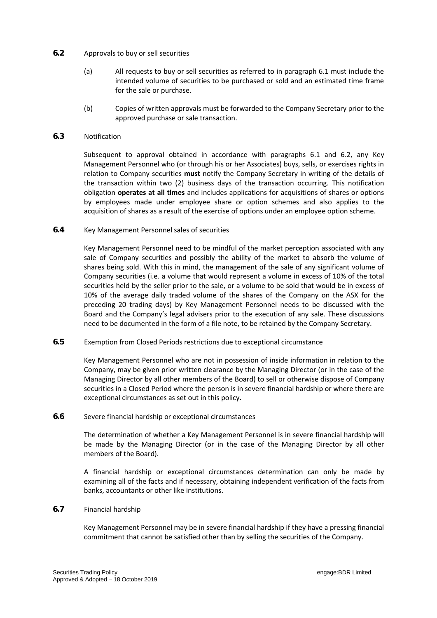## <span id="page-6-0"></span>**6.2** Approvals to buy or sell securities

- (a) All requests to buy or sell securities as referred to in paragraph [6.1](#page-5-0) must include the intended volume of securities to be purchased or sold and an estimated time frame for the sale or purchase.
- (b) Copies of written approvals must be forwarded to the Company Secretary prior to the approved purchase or sale transaction.

## **6.3** Notification

Subsequent to approval obtained in accordance with paragraphs [6.1](#page-5-0) and [6.2,](#page-6-0) any Key Management Personnel who (or through his or her Associates) buys, sells, or exercises rights in relation to Company securities **must** notify the Company Secretary in writing of the details of the transaction within two (2) business days of the transaction occurring. This notification obligation **operates at all times** and includes applications for acquisitions of shares or options by employees made under employee share or option schemes and also applies to the acquisition of shares as a result of the exercise of options under an employee option scheme.

## **6.4** Key Management Personnel sales of securities

Key Management Personnel need to be mindful of the market perception associated with any sale of Company securities and possibly the ability of the market to absorb the volume of shares being sold. With this in mind, the management of the sale of any significant volume of Company securities (i.e. a volume that would represent a volume in excess of 10% of the total securities held by the seller prior to the sale, or a volume to be sold that would be in excess of 10% of the average daily traded volume of the shares of the Company on the ASX for the preceding 20 trading days) by Key Management Personnel needs to be discussed with the Board and the Company's legal advisers prior to the execution of any sale. These discussions need to be documented in the form of a file note, to be retained by the Company Secretary.

**6.5** Exemption from Closed Periods restrictions due to exceptional circumstance

Key Management Personnel who are not in possession of inside information in relation to the Company, may be given prior written clearance by the Managing Director (or in the case of the Managing Director by all other members of the Board) to sell or otherwise dispose of Company securities in a Closed Period where the person is in severe financial hardship or where there are exceptional circumstances as set out in this policy.

#### **6.6** Severe financial hardship or exceptional circumstances

The determination of whether a Key Management Personnel is in severe financial hardship will be made by the Managing Director (or in the case of the Managing Director by all other members of the Board).

A financial hardship or exceptional circumstances determination can only be made by examining all of the facts and if necessary, obtaining independent verification of the facts from banks, accountants or other like institutions.

## **6.7** Financial hardship

Key Management Personnel may be in severe financial hardship if they have a pressing financial commitment that cannot be satisfied other than by selling the securities of the Company.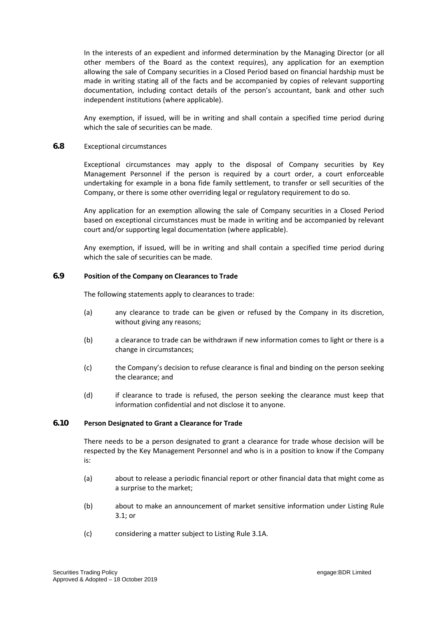In the interests of an expedient and informed determination by the Managing Director (or all other members of the Board as the context requires), any application for an exemption allowing the sale of Company securities in a Closed Period based on financial hardship must be made in writing stating all of the facts and be accompanied by copies of relevant supporting documentation, including contact details of the person's accountant, bank and other such independent institutions (where applicable).

Any exemption, if issued, will be in writing and shall contain a specified time period during which the sale of securities can be made.

#### **6.8** Exceptional circumstances

Exceptional circumstances may apply to the disposal of Company securities by Key Management Personnel if the person is required by a court order, a court enforceable undertaking for example in a bona fide family settlement, to transfer or sell securities of the Company, or there is some other overriding legal or regulatory requirement to do so.

Any application for an exemption allowing the sale of Company securities in a Closed Period based on exceptional circumstances must be made in writing and be accompanied by relevant court and/or supporting legal documentation (where applicable).

Any exemption, if issued, will be in writing and shall contain a specified time period during which the sale of securities can be made.

## **6.9 Position of the Company on Clearances to Trade**

The following statements apply to clearances to trade:

- (a) any clearance to trade can be given or refused by the Company in its discretion, without giving any reasons;
- (b) a clearance to trade can be withdrawn if new information comes to light or there is a change in circumstances;
- (c) the Company's decision to refuse clearance is final and binding on the person seeking the clearance; and
- (d) if clearance to trade is refused, the person seeking the clearance must keep that information confidential and not disclose it to anyone.

## **6.10 Person Designated to Grant a Clearance for Trade**

There needs to be a person designated to grant a clearance for trade whose decision will be respected by the Key Management Personnel and who is in a position to know if the Company is:

- (a) about to release a periodic financial report or other financial data that might come as a surprise to the market;
- (b) about to make an announcement of market sensitive information under Listing Rule 3.1; or
- (c) considering a matter subject to Listing Rule 3.1A.